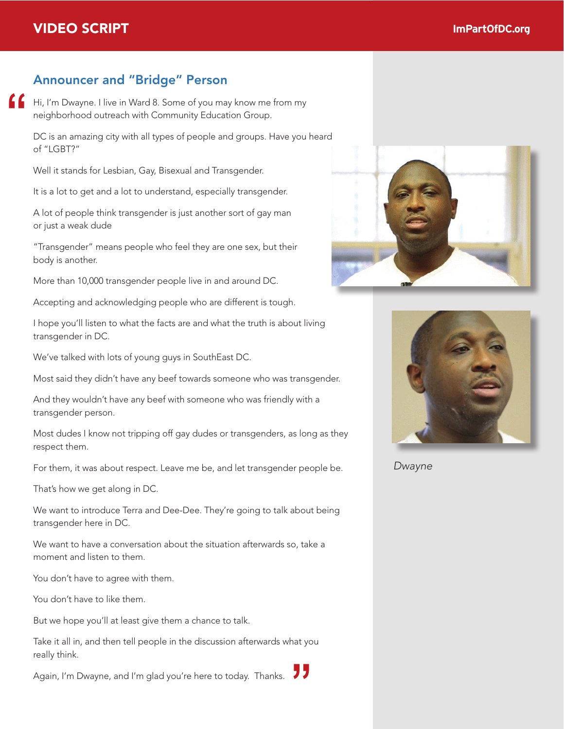## Announcer and "Bridge" Person

Hi, I'm Dwayne. I live in Ward 8. Some of you may know me from my neighborhood outreach with Community Education Group. **"**

DC is an amazing city with all types of people and groups. Have you heard of "LGBT?"

Well it stands for Lesbian, Gay, Bisexual and Transgender.

It is a lot to get and a lot to understand, especially transgender.

A lot of people think transgender is just another sort of gay man or just a weak dude

"Transgender" means people who feel they are one sex, but their body is another.

More than 10,000 transgender people live in and around DC.

Accepting and acknowledging people who are different is tough.

I hope you'll listen to what the facts are and what the truth is about living transgender in DC.

We've talked with lots of young guys in SouthEast DC.

Most said they didn't have any beef towards someone who was transgender.

And they wouldn't have any beef with someone who was friendly with a transgender person.

Most dudes I know not tripping off gay dudes or transgenders, as long as they respect them.

For them, it was about respect. Leave me be, and let transgender people be.

That's how we get along in DC.

We want to introduce Terra and Dee-Dee. They're going to talk about being transgender here in DC.

We want to have a conversation about the situation afterwards so, take a moment and listen to them.

You don't have to agree with them.

You don't have to like them.

But we hope you'll at least give them a chance to talk.

Take it all in, and then tell people in the discussion afterwards what you really think. rake it an in, and then ten people in the diseassion artenwards what you<br>really think.<br>Again, I'm Dwayne, and I'm glad you're here to today. Thanks.





*Dwayne*